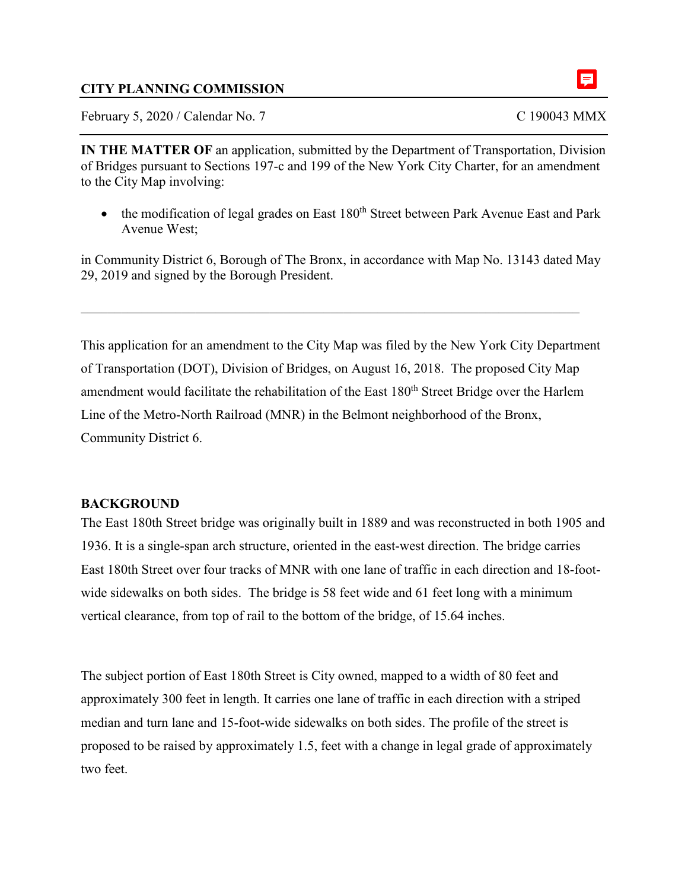### **CITY PLANNING COMMISSION**

February 5, 2020 / Calendar No. 7 C 190043 MMX

**IN THE MATTER OF** an application, submitted by the Department of Transportation, Division of Bridges pursuant to Sections 197-c and 199 of the New York City Charter, for an amendment to the City Map involving:

• the modification of legal grades on East  $180<sup>th</sup>$  Street between Park Avenue East and Park Avenue West;

in Community District 6, Borough of The Bronx, in accordance with Map No. 13143 dated May 29, 2019 and signed by the Borough President.

This application for an amendment to the City Map was filed by the New York City Department of Transportation (DOT), Division of Bridges, on August 16, 2018. The proposed City Map amendment would facilitate the rehabilitation of the East 180<sup>th</sup> Street Bridge over the Harlem Line of the Metro-North Railroad (MNR) in the Belmont neighborhood of the Bronx, Community District 6.

#### **BACKGROUND**

The East 180th Street bridge was originally built in 1889 and was reconstructed in both 1905 and 1936. It is a single-span arch structure, oriented in the east-west direction. The bridge carries East 180th Street over four tracks of MNR with one lane of traffic in each direction and 18-footwide sidewalks on both sides. The bridge is 58 feet wide and 61 feet long with a minimum vertical clearance, from top of rail to the bottom of the bridge, of 15.64 inches.

The subject portion of East 180th Street is City owned, mapped to a width of 80 feet and approximately 300 feet in length. It carries one lane of traffic in each direction with a striped median and turn lane and 15-foot-wide sidewalks on both sides. The profile of the street is proposed to be raised by approximately 1.5, feet with a change in legal grade of approximately two feet.

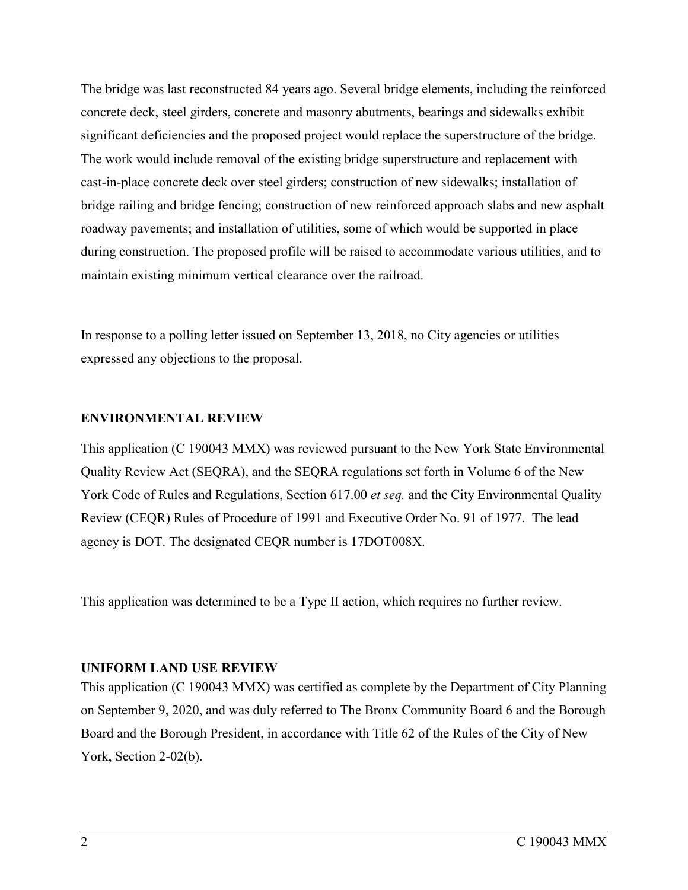The bridge was last reconstructed 84 years ago. Several bridge elements, including the reinforced concrete deck, steel girders, concrete and masonry abutments, bearings and sidewalks exhibit significant deficiencies and the proposed project would replace the superstructure of the bridge. The work would include removal of the existing bridge superstructure and replacement with cast-in-place concrete deck over steel girders; construction of new sidewalks; installation of bridge railing and bridge fencing; construction of new reinforced approach slabs and new asphalt roadway pavements; and installation of utilities, some of which would be supported in place during construction. The proposed profile will be raised to accommodate various utilities, and to maintain existing minimum vertical clearance over the railroad.

In response to a polling letter issued on September 13, 2018, no City agencies or utilities expressed any objections to the proposal.

#### **ENVIRONMENTAL REVIEW**

This application (C 190043 MMX) was reviewed pursuant to the New York State Environmental Quality Review Act (SEQRA), and the SEQRA regulations set forth in Volume 6 of the New York Code of Rules and Regulations, Section 617.00 *et seq.* and the City Environmental Quality Review (CEQR) Rules of Procedure of 1991 and Executive Order No. 91 of 1977. The lead agency is DOT. The designated CEQR number is 17DOT008X.

This application was determined to be a Type II action, which requires no further review.

#### **UNIFORM LAND USE REVIEW**

This application (C 190043 MMX) was certified as complete by the Department of City Planning on September 9, 2020, and was duly referred to The Bronx Community Board 6 and the Borough Board and the Borough President, in accordance with Title 62 of the Rules of the City of New York, Section 2-02(b).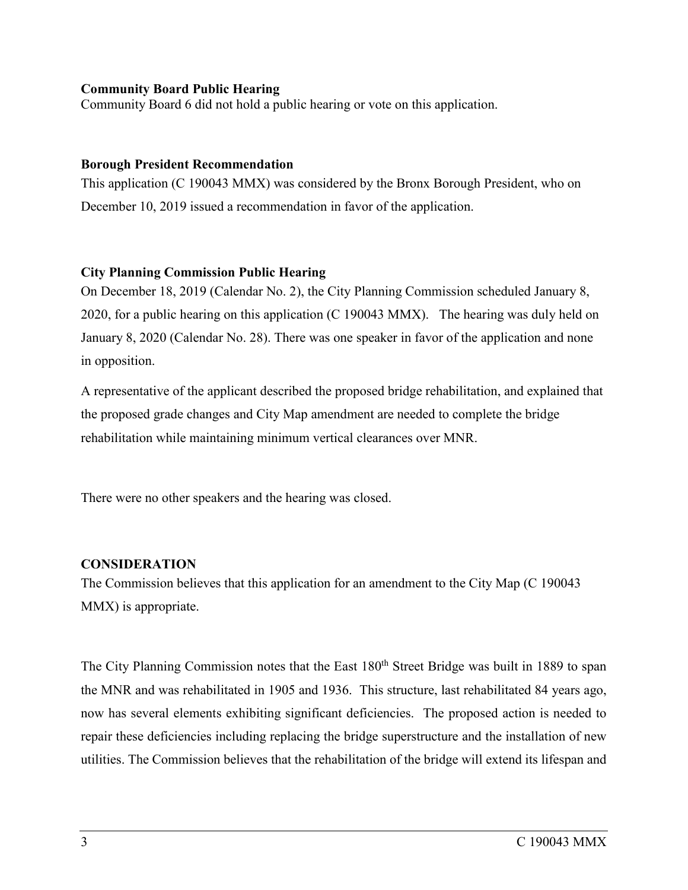#### **Community Board Public Hearing**

Community Board 6 did not hold a public hearing or vote on this application.

#### **Borough President Recommendation**

This application (C 190043 MMX) was considered by the Bronx Borough President, who on December 10, 2019 issued a recommendation in favor of the application.

## **City Planning Commission Public Hearing**

On December 18, 2019 (Calendar No. 2), the City Planning Commission scheduled January 8, 2020, for a public hearing on this application (C 190043 MMX). The hearing was duly held on January 8, 2020 (Calendar No. 28). There was one speaker in favor of the application and none in opposition.

A representative of the applicant described the proposed bridge rehabilitation, and explained that the proposed grade changes and City Map amendment are needed to complete the bridge rehabilitation while maintaining minimum vertical clearances over MNR.

There were no other speakers and the hearing was closed.

## **CONSIDERATION**

The Commission believes that this application for an amendment to the City Map (C 190043 MMX) is appropriate.

The City Planning Commission notes that the East 180<sup>th</sup> Street Bridge was built in 1889 to span the MNR and was rehabilitated in 1905 and 1936. This structure, last rehabilitated 84 years ago, now has several elements exhibiting significant deficiencies. The proposed action is needed to repair these deficiencies including replacing the bridge superstructure and the installation of new utilities. The Commission believes that the rehabilitation of the bridge will extend its lifespan and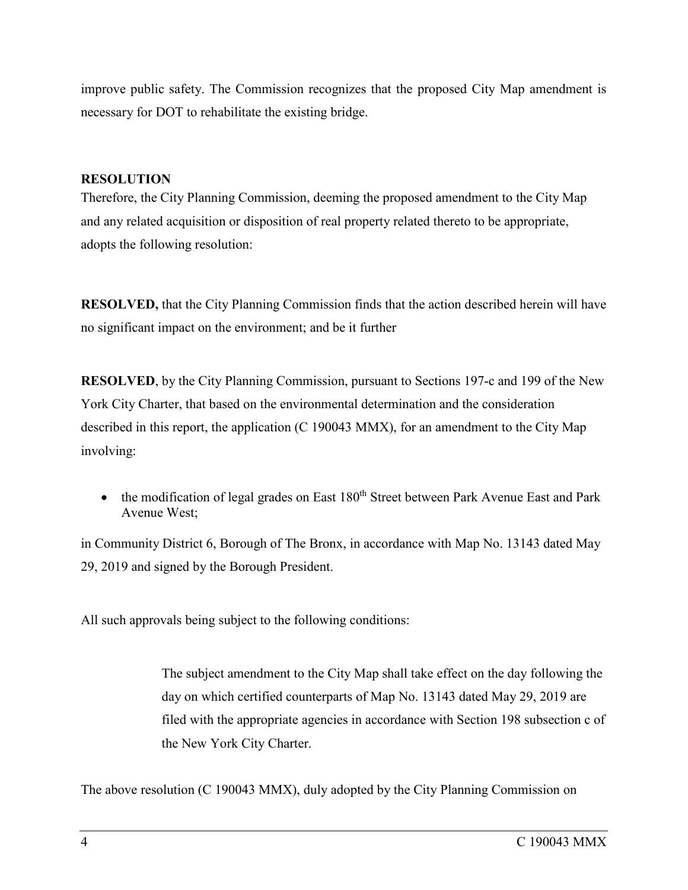improve public safety. The Commission recognizes that the proposed City Map amendment is necessary for DOT to rehabilitate the existing bridge.

### **RESOLUTION**

Therefore, the City Planning Commission, deeming the proposed amendment to the City Map and any related acquisition or disposition of real property related thereto to be appropriate, adopts the following resolution:

**RESOLVED,** that the City Planning Commission finds that the action described herein will have no significant impact on the environment; and be it further

**RESOLVED**, by the City Planning Commission, pursuant to Sections 197-c and 199 of the New York City Charter, that based on the environmental determination and the consideration described in this report, the application (C 190043 MMX), for an amendment to the City Map involving:

• the modification of legal grades on East  $180<sup>th</sup>$  Street between Park Avenue East and Park Avenue West;

in Community District 6, Borough of The Bronx, in accordance with Map No. 13143 dated May 29, 2019 and signed by the Borough President.

All such approvals being subject to the following conditions:

The subject amendment to the City Map shall take effect on the day following the day on which certified counterparts of Map No. 13143 dated May 29, 2019 are filed with the appropriate agencies in accordance with Section 198 subsection c of the New York City Charter.

The above resolution (C 190043 MMX), duly adopted by the City Planning Commission on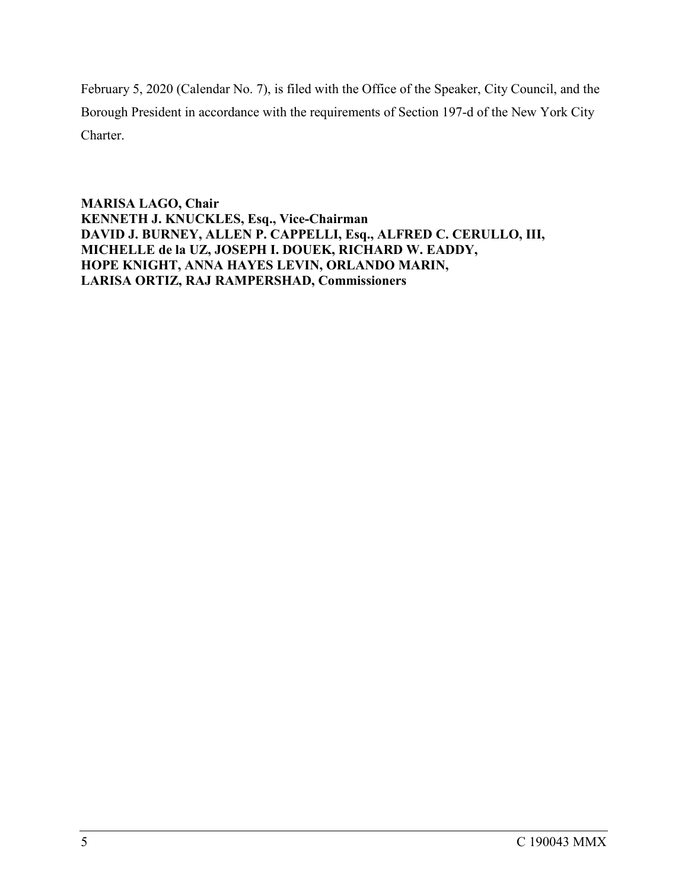February 5, 2020 (Calendar No. 7), is filed with the Office of the Speaker, City Council, and the Borough President in accordance with the requirements of Section 197-d of the New York City Charter.

**MARISA LAGO, Chair KENNETH J. KNUCKLES, Esq., Vice-Chairman DAVID J. BURNEY, ALLEN P. CAPPELLI, Esq., ALFRED C. CERULLO, III, MICHELLE de la UZ, JOSEPH I. DOUEK, RICHARD W. EADDY, HOPE KNIGHT, ANNA HAYES LEVIN, ORLANDO MARIN, LARISA ORTIZ, RAJ RAMPERSHAD, Commissioners**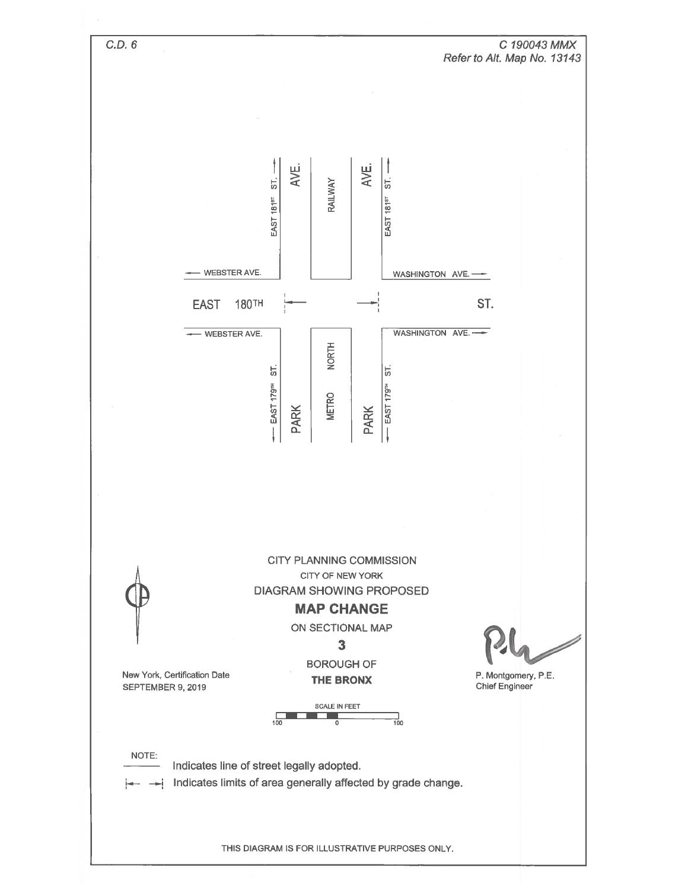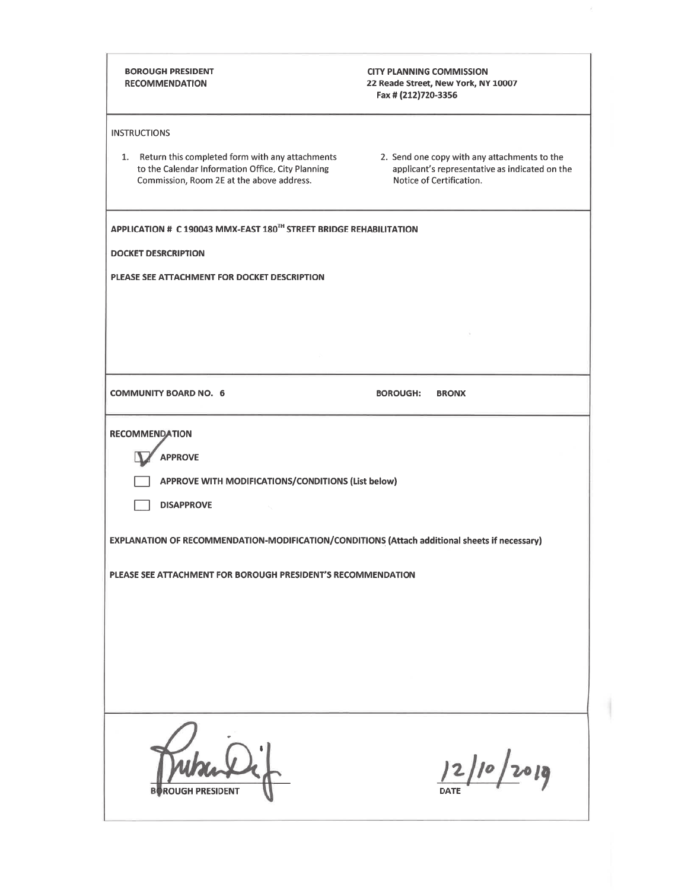| 22 Reade Street, New York, NY 10007<br>Fax # (212)720-3356                                                                 |
|----------------------------------------------------------------------------------------------------------------------------|
|                                                                                                                            |
| 2. Send one copy with any attachments to the<br>applicant's representative as indicated on the<br>Notice of Certification. |
| APPLICATION # C 190043 MMX-EAST 180TH STREET BRIDGE REHABILITATION                                                         |
|                                                                                                                            |
|                                                                                                                            |
|                                                                                                                            |
|                                                                                                                            |
|                                                                                                                            |
|                                                                                                                            |
| <b>BOROUGH:</b><br><b>BRONX</b>                                                                                            |
|                                                                                                                            |
|                                                                                                                            |
| APPROVE WITH MODIFICATIONS/CONDITIONS (List below)                                                                         |
|                                                                                                                            |
|                                                                                                                            |
| EXPLANATION OF RECOMMENDATION-MODIFICATION/CONDITIONS (Attach additional sheets if necessary)                              |
| PLEASE SEE ATTACHMENT FOR BOROUGH PRESIDENT'S RECOMMENDATION                                                               |
|                                                                                                                            |
|                                                                                                                            |
|                                                                                                                            |
|                                                                                                                            |
|                                                                                                                            |
|                                                                                                                            |
| 12/10/2019                                                                                                                 |
|                                                                                                                            |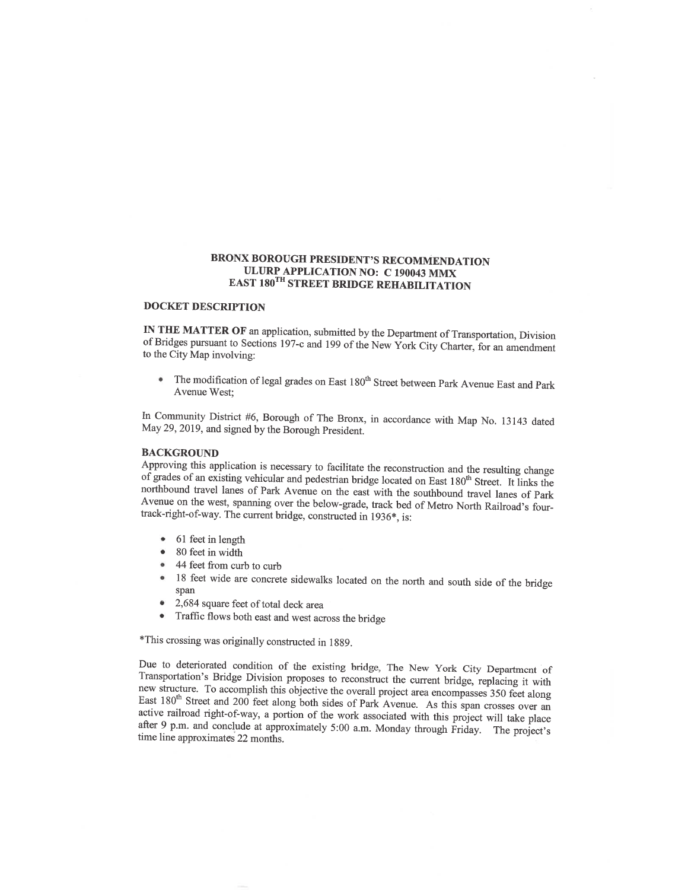#### **BRONX BOROUGH PRESIDENT'S RECOMMENDATION ULURP APPLICATION NO: C 190043 MMX EAST 180TH STREET BRIDGE REHABILITATION**

#### **DOCKET DESCRIPTION**

IN THE MATTER OF an application, submitted by the Department of Transportation, Division of Bridges pursuant to Sections 197-c and 199 of the New York City Charter, for an amendment to the City Map involving:

The modification of legal grades on East 180<sup>th</sup> Street between Park Avenue East and Park Avenue West:

In Community District #6, Borough of The Bronx, in accordance with Map No. 13143 dated May 29, 2019, and signed by the Borough President.

#### **BACKGROUND**

Approving this application is necessary to facilitate the reconstruction and the resulting change of grades of an existing vehicular and pedestrian bridge located on East 180<sup>th</sup> Street. It links the northbound travel lanes of Park Avenue on the east with the southbound travel lanes of Park Avenue on the west, spanning over the below-grade, track bed of Metro North Railroad's fourtrack-right-of-way. The current bridge, constructed in 1936\*, is:

- 61 feet in length  $\bullet$
- $\bullet$ 80 feet in width
- 44 feet from curb to curb ö
- 18 feet wide are concrete sidewalks located on the north and south side of the bridge  $\bullet$ span
- 2,684 square feet of total deck area  $\bullet$
- Traffic flows both east and west across the bridge  $\bullet$

\*This crossing was originally constructed in 1889.

Due to deteriorated condition of the existing bridge, The New York City Department of Transportation's Bridge Division proposes to reconstruct the current bridge, replacing it with new structure. To accomplish this objective the overall project area encompasses 350 feet along East 180<sup>th</sup> Street and 200 feet along both sides of Park Avenue. As this span crosses over an active railroad right-of-way, a portion of the work associated with this project will take place after 9 p.m. and conclude at approximately 5:00 a.m. Monday through Friday. The project's time line approximates 22 months.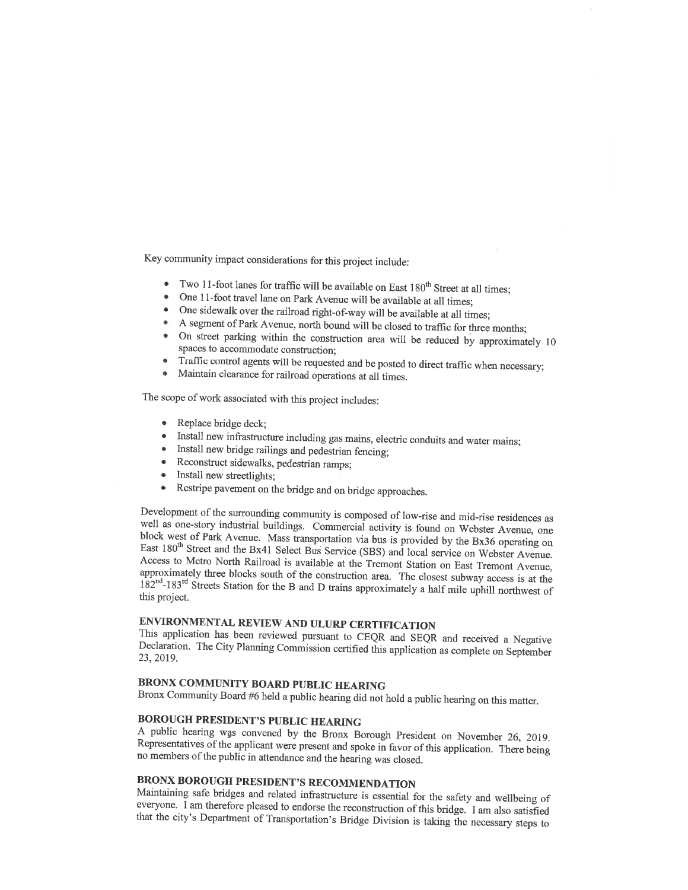Key community impact considerations for this project include:

- Two 11-foot lanes for traffic will be available on East 180<sup>th</sup> Street at all times:
- One 11-foot travel lane on Park Avenue will be available at all times;
- One sidewalk over the railroad right-of-way will be available at all times;
- A segment of Park Avenue, north bound will be closed to traffic for three months;
- On street parking within the construction area will be reduced by approximately 10 spaces to accommodate construction;
- Traffic control agents will be requested and be posted to direct traffic when necessary;
- Maintain clearance for railroad operations at all times.

The scope of work associated with this project includes:

- Replace bridge deck;
- Install new infrastructure including gas mains, electric conduits and water mains;
- Install new bridge railings and pedestrian fencing;
- Reconstruct sidewalks, pedestrian ramps;
- Install new streetlights;
- Restripe pavement on the bridge and on bridge approaches.  $\bullet$

Development of the surrounding community is composed of low-rise and mid-rise residences as well as one-story industrial buildings. Commercial activity is found on Webster Avenue, one block west of Park Avenue. Mass transportation via bus is provided by the Bx36 operating on East 180<sup>th</sup> Street and the Bx41 Select Bus Service (SBS) and local service on Webster Avenue. Access to Metro North Railroad is available at the Tremont Station on East Tremont Avenue, approximately three blocks south of the construction area. The closest subway access is at the  $182<sup>nd</sup>$ -183<sup>rd</sup> Streets Station for the B and D trains approximately a half mile uphill northwest of this project.

## ENVIRONMENTAL REVIEW AND ULURP CERTIFICATION

This application has been reviewed pursuant to CEQR and SEQR and received a Negative Declaration. The City Planning Commission certified this application as complete on September 23, 2019.

#### BRONX COMMUNITY BOARD PUBLIC HEARING

Bronx Community Board #6 held a public hearing did not hold a public hearing on this matter.

#### **BOROUGH PRESIDENT'S PUBLIC HEARING**

A public hearing was convened by the Bronx Borough President on November 26, 2019. Representatives of the applicant were present and spoke in favor of this application. There being no members of the public in attendance and the hearing was closed.

# **BRONX BOROUGH PRESIDENT'S RECOMMENDATION**

Maintaining safe bridges and related infrastructure is essential for the safety and wellbeing of everyone. I am therefore pleased to endorse the reconstruction of this bridge. I am also satisfied that the city's Department of Transportation's Bridge Division is taking the necessary steps to